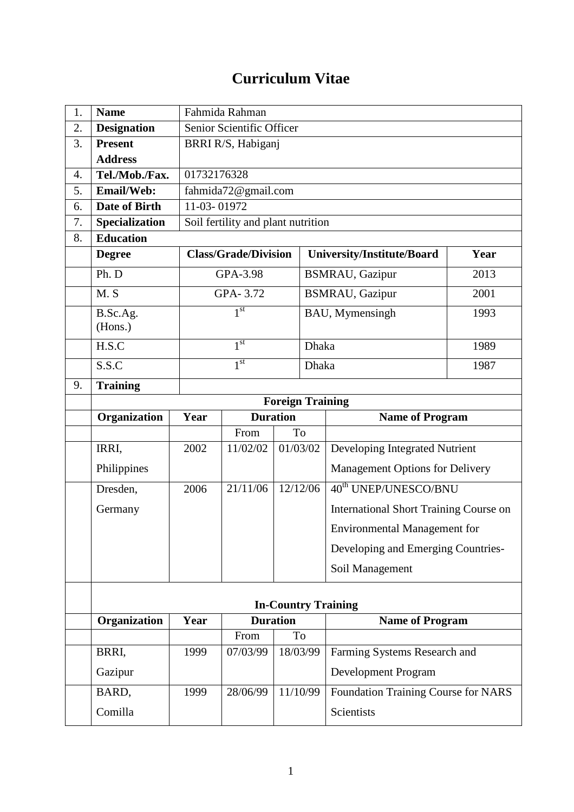## **Curriculum Vitae**

| 1. | <b>Name</b>          |                         | Fahmida Rahman                            |                 |                                                      |                                        |  |  |
|----|----------------------|-------------------------|-------------------------------------------|-----------------|------------------------------------------------------|----------------------------------------|--|--|
| 2. | <b>Designation</b>   |                         | Senior Scientific Officer                 |                 |                                                      |                                        |  |  |
| 3. | <b>Present</b>       |                         | BRRI R/S, Habiganj                        |                 |                                                      |                                        |  |  |
|    | <b>Address</b>       |                         |                                           |                 |                                                      |                                        |  |  |
| 4. | Tel./Mob./Fax.       |                         | 01732176328                               |                 |                                                      |                                        |  |  |
| 5. | Email/Web:           |                         | fahmida72@gmail.com                       |                 |                                                      |                                        |  |  |
| 6. | <b>Date of Birth</b> | 11-03-01972             |                                           |                 |                                                      |                                        |  |  |
| 7. | Specialization       |                         | Soil fertility and plant nutrition        |                 |                                                      |                                        |  |  |
| 8. | <b>Education</b>     |                         |                                           |                 |                                                      |                                        |  |  |
|    | <b>Degree</b>        |                         | <b>Class/Grade/Division</b>               |                 | University/Institute/Board                           | Year                                   |  |  |
|    | Ph. D                |                         | GPA-3.98                                  |                 | <b>BSMRAU, Gazipur</b><br>2013                       |                                        |  |  |
|    | M.S                  |                         | GPA-3.72                                  |                 | <b>BSMRAU</b> , Gazipur                              | 2001                                   |  |  |
|    | B.Sc.Ag.<br>(Hons.)  |                         | 1 <sup>st</sup>                           |                 | BAU, Mymensingh<br>1993                              |                                        |  |  |
|    | H.S.C                |                         | 1 <sup>st</sup>                           |                 | Dhaka                                                | 1989                                   |  |  |
|    | S.S.C                |                         | 1 <sup>st</sup>                           |                 | Dhaka                                                | 1987                                   |  |  |
| 9. | <b>Training</b>      |                         |                                           |                 |                                                      |                                        |  |  |
|    |                      | <b>Foreign Training</b> |                                           |                 |                                                      |                                        |  |  |
|    | Organization         | Year                    | <b>Duration</b><br><b>Name of Program</b> |                 |                                                      |                                        |  |  |
|    |                      |                         | To<br>From                                |                 |                                                      |                                        |  |  |
|    | IRRI,                | 2002                    | 11/02/02                                  | 01/03/02        | Developing Integrated Nutrient                       |                                        |  |  |
|    | Philippines          |                         |                                           |                 |                                                      | <b>Management Options for Delivery</b> |  |  |
|    |                      |                         |                                           |                 |                                                      |                                        |  |  |
|    | Dresden,             | 2006                    | 21/11/06                                  | 12/12/06        | 40 <sup>th</sup> UNEP/UNESCO/BNU                     |                                        |  |  |
|    | Germany              |                         |                                           |                 | <b>International Short Training Course on</b>        |                                        |  |  |
|    |                      |                         |                                           |                 | <b>Environmental Management for</b>                  |                                        |  |  |
|    |                      |                         |                                           |                 | Developing and Emerging Countries-                   |                                        |  |  |
|    |                      |                         |                                           |                 | Soil Management                                      |                                        |  |  |
|    |                      |                         |                                           |                 |                                                      |                                        |  |  |
|    |                      | Year                    |                                           | <b>Duration</b> | <b>In-Country Training</b><br><b>Name of Program</b> |                                        |  |  |
|    | Organization         |                         | From                                      | To              |                                                      |                                        |  |  |
|    | BRRI,                | 1999                    | 07/03/99                                  | 18/03/99        | Farming Systems Research and                         |                                        |  |  |
|    | Gazipur              |                         |                                           |                 | Development Program                                  |                                        |  |  |
|    | BARD,                | 1999                    | 28/06/99                                  | 11/10/99        | Foundation Training Course for NARS                  |                                        |  |  |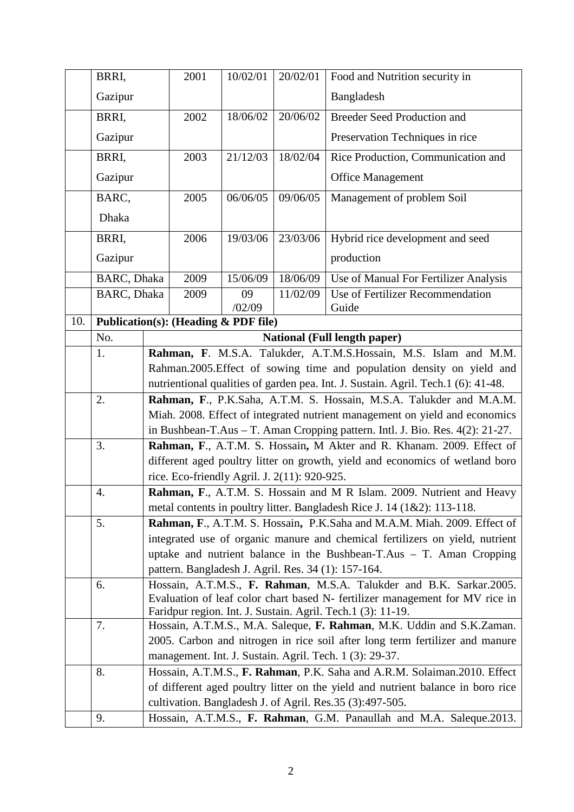|     | BRRI,                                                                     |                                                                                                                                                        | 2001                                                                            | 10/02/01                                        | 20/02/01 | Food and Nutrition security in                                           |
|-----|---------------------------------------------------------------------------|--------------------------------------------------------------------------------------------------------------------------------------------------------|---------------------------------------------------------------------------------|-------------------------------------------------|----------|--------------------------------------------------------------------------|
|     | Gazipur                                                                   |                                                                                                                                                        |                                                                                 |                                                 |          | Bangladesh                                                               |
|     | BRRI,                                                                     |                                                                                                                                                        | 2002                                                                            | 18/06/02                                        | 20/06/02 | <b>Breeder Seed Production and</b>                                       |
|     | Gazipur                                                                   |                                                                                                                                                        |                                                                                 |                                                 |          | Preservation Techniques in rice                                          |
|     | BRRI,                                                                     |                                                                                                                                                        | 2003                                                                            | 21/12/03                                        | 18/02/04 | Rice Production, Communication and                                       |
|     | Gazipur                                                                   |                                                                                                                                                        |                                                                                 |                                                 |          | <b>Office Management</b>                                                 |
|     | BARC,                                                                     |                                                                                                                                                        | 2005                                                                            | 06/06/05                                        | 09/06/05 | Management of problem Soil                                               |
|     | <b>Dhaka</b>                                                              |                                                                                                                                                        |                                                                                 |                                                 |          |                                                                          |
|     | BRRI,                                                                     |                                                                                                                                                        | 2006                                                                            | 19/03/06                                        | 23/03/06 | Hybrid rice development and seed                                         |
|     | Gazipur                                                                   |                                                                                                                                                        |                                                                                 |                                                 |          | production                                                               |
|     | BARC, Dhaka                                                               |                                                                                                                                                        | 2009                                                                            | 15/06/09                                        | 18/06/09 | Use of Manual For Fertilizer Analysis                                    |
|     | BARC, Dhaka                                                               |                                                                                                                                                        | 2009                                                                            | 09<br>/02/09                                    | 11/02/09 | Use of Fertilizer Recommendation<br>Guide                                |
| 10. |                                                                           |                                                                                                                                                        |                                                                                 | <b>Publication(s): (Heading &amp; PDF file)</b> |          |                                                                          |
|     | No.                                                                       | <b>National (Full length paper)</b>                                                                                                                    |                                                                                 |                                                 |          |                                                                          |
|     | 1.                                                                        |                                                                                                                                                        |                                                                                 |                                                 |          | Rahman, F. M.S.A. Talukder, A.T.M.S.Hossain, M.S. Islam and M.M.         |
|     |                                                                           | Rahman.2005.Effect of sowing time and population density on yield and                                                                                  |                                                                                 |                                                 |          |                                                                          |
|     |                                                                           | nutrientional qualities of garden pea. Int. J. Sustain. Agril. Tech.1 (6): 41-48.                                                                      |                                                                                 |                                                 |          |                                                                          |
|     | 2.                                                                        | Rahman, F., P.K.Saha, A.T.M. S. Hossain, M.S.A. Talukder and M.A.M.                                                                                    |                                                                                 |                                                 |          |                                                                          |
|     |                                                                           | Miah. 2008. Effect of integrated nutrient management on yield and economics                                                                            |                                                                                 |                                                 |          |                                                                          |
|     |                                                                           | in Bushbean-T.Aus - T. Aman Cropping pattern. Intl. J. Bio. Res. 4(2): 21-27.<br>Rahman, F., A.T.M. S. Hossain, M Akter and R. Khanam. 2009. Effect of |                                                                                 |                                                 |          |                                                                          |
|     | 3.                                                                        |                                                                                                                                                        |                                                                                 |                                                 |          |                                                                          |
|     |                                                                           | different aged poultry litter on growth, yield and economics of wetland boro<br>rice. Eco-friendly Agril. J. 2(11): 920-925.                           |                                                                                 |                                                 |          |                                                                          |
|     | 4.                                                                        | Rahman, F., A.T.M. S. Hossain and M R Islam. 2009. Nutrient and Heavy                                                                                  |                                                                                 |                                                 |          |                                                                          |
|     |                                                                           | metal contents in poultry litter. Bangladesh Rice J. 14 (1&2): 113-118.                                                                                |                                                                                 |                                                 |          |                                                                          |
|     | 5.                                                                        | Rahman, F., A.T.M. S. Hossain, P.K.Saha and M.A.M. Miah. 2009. Effect of                                                                               |                                                                                 |                                                 |          |                                                                          |
|     |                                                                           | integrated use of organic manure and chemical fertilizers on yield, nutrient                                                                           |                                                                                 |                                                 |          |                                                                          |
|     |                                                                           | uptake and nutrient balance in the Bushbean-T.Aus $-$ T. Aman Cropping                                                                                 |                                                                                 |                                                 |          |                                                                          |
|     |                                                                           | pattern. Bangladesh J. Agril. Res. 34 (1): 157-164.                                                                                                    |                                                                                 |                                                 |          |                                                                          |
|     | 6.                                                                        | Hossain, A.T.M.S., F. Rahman, M.S.A. Talukder and B.K. Sarkar.2005.<br>Evaluation of leaf color chart based N- fertilizer management for MV rice in    |                                                                                 |                                                 |          |                                                                          |
|     |                                                                           | Faridpur region. Int. J. Sustain. Agril. Tech.1 (3): 11-19.                                                                                            |                                                                                 |                                                 |          |                                                                          |
|     | 7.                                                                        | Hossain, A.T.M.S., M.A. Saleque, F. Rahman, M.K. Uddin and S.K.Zaman.                                                                                  |                                                                                 |                                                 |          |                                                                          |
|     |                                                                           | 2005. Carbon and nitrogen in rice soil after long term fertilizer and manure                                                                           |                                                                                 |                                                 |          |                                                                          |
|     |                                                                           |                                                                                                                                                        |                                                                                 |                                                 |          | management. Int. J. Sustain. Agril. Tech. 1 (3): 29-37.                  |
|     | 8.                                                                        |                                                                                                                                                        |                                                                                 |                                                 |          | Hossain, A.T.M.S., F. Rahman, P.K. Saha and A.R.M. Solaiman.2010. Effect |
|     |                                                                           |                                                                                                                                                        | of different aged poultry litter on the yield and nutrient balance in boro rice |                                                 |          |                                                                          |
|     |                                                                           |                                                                                                                                                        | cultivation. Bangladesh J. of Agril. Res.35 (3):497-505.                        |                                                 |          |                                                                          |
|     | Hossain, A.T.M.S., F. Rahman, G.M. Panaullah and M.A. Saleque.2013.<br>9. |                                                                                                                                                        |                                                                                 |                                                 |          |                                                                          |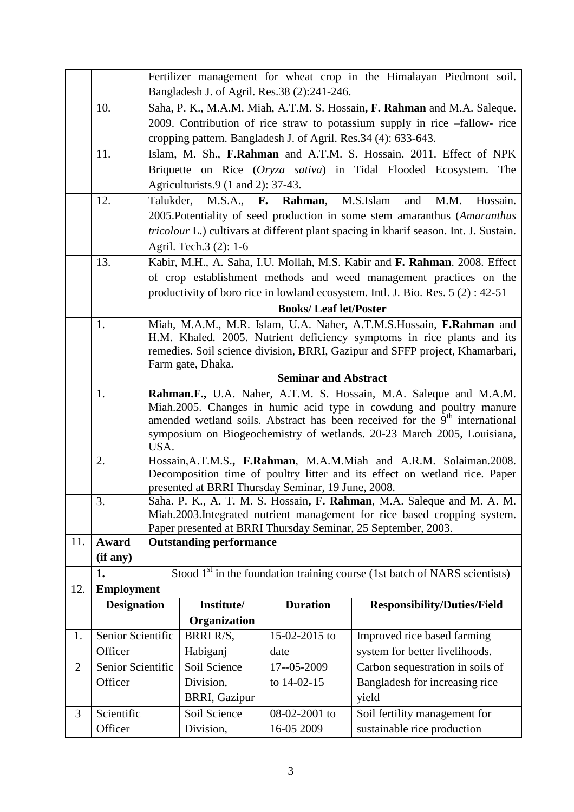|                |                   | Fertilizer management for wheat crop in the Himalayan Piedmont soil.                      |                                                                  |                                                    |                                                                                              |  |  |
|----------------|-------------------|-------------------------------------------------------------------------------------------|------------------------------------------------------------------|----------------------------------------------------|----------------------------------------------------------------------------------------------|--|--|
|                |                   | Bangladesh J. of Agril. Res.38 (2):241-246.                                               |                                                                  |                                                    |                                                                                              |  |  |
|                | 10.               | Saha, P. K., M.A.M. Miah, A.T.M. S. Hossain, F. Rahman and M.A. Saleque.                  |                                                                  |                                                    |                                                                                              |  |  |
|                |                   | 2009. Contribution of rice straw to potassium supply in rice -fallow- rice                |                                                                  |                                                    |                                                                                              |  |  |
|                |                   | cropping pattern. Bangladesh J. of Agril. Res.34 (4): 633-643.                            |                                                                  |                                                    |                                                                                              |  |  |
|                | 11.               | Islam, M. Sh., F.Rahman and A.T.M. S. Hossain. 2011. Effect of NPK                        |                                                                  |                                                    |                                                                                              |  |  |
|                |                   |                                                                                           | Briquette on Rice (Oryza sativa) in Tidal Flooded Ecosystem. The |                                                    |                                                                                              |  |  |
|                |                   | Agriculturists.9 (1 and 2): 37-43.                                                        |                                                                  |                                                    |                                                                                              |  |  |
|                | 12.               | M.S.A., F. Rahman, M.S.Islam<br>Talukder,<br>M.M.<br>Hossain.<br>and                      |                                                                  |                                                    |                                                                                              |  |  |
|                |                   |                                                                                           |                                                                  |                                                    | 2005. Potentiality of seed production in some stem amaranthus (Amaranthus                    |  |  |
|                |                   |                                                                                           |                                                                  |                                                    | <i>tricolour</i> L.) cultivars at different plant spacing in kharif season. Int. J. Sustain. |  |  |
|                |                   |                                                                                           | Agril. Tech.3 (2): 1-6                                           |                                                    |                                                                                              |  |  |
|                | 13.               |                                                                                           |                                                                  |                                                    | Kabir, M.H., A. Saha, I.U. Mollah, M.S. Kabir and F. Rahman. 2008. Effect                    |  |  |
|                |                   |                                                                                           |                                                                  |                                                    | of crop establishment methods and weed management practices on the                           |  |  |
|                |                   |                                                                                           |                                                                  |                                                    | productivity of boro rice in lowland ecosystem. Intl. J. Bio. Res. $5(2)$ : 42-51            |  |  |
|                |                   |                                                                                           |                                                                  | <b>Books/Leaf let/Poster</b>                       |                                                                                              |  |  |
|                | 1.                |                                                                                           |                                                                  |                                                    | Miah, M.A.M., M.R. Islam, U.A. Naher, A.T.M.S.Hossain, F.Rahman and                          |  |  |
|                |                   |                                                                                           |                                                                  |                                                    | H.M. Khaled. 2005. Nutrient deficiency symptoms in rice plants and its                       |  |  |
|                |                   |                                                                                           | Farm gate, Dhaka.                                                |                                                    | remedies. Soil science division, BRRI, Gazipur and SFFP project, Khamarbari,                 |  |  |
|                |                   |                                                                                           |                                                                  | <b>Seminar and Abstract</b>                        |                                                                                              |  |  |
|                | 1.                |                                                                                           |                                                                  |                                                    | Rahman.F., U.A. Naher, A.T.M. S. Hossain, M.A. Saleque and M.A.M.                            |  |  |
|                |                   | Miah.2005. Changes in humic acid type in cowdung and poultry manure                       |                                                                  |                                                    |                                                                                              |  |  |
|                |                   | amended wetland soils. Abstract has been received for the 9 <sup>th</sup> international   |                                                                  |                                                    |                                                                                              |  |  |
|                |                   | symposium on Biogeochemistry of wetlands. 20-23 March 2005, Louisiana,                    |                                                                  |                                                    |                                                                                              |  |  |
|                | 2.                | USA.<br>Hossain, A.T.M.S., F.Rahman, M.A.M.Miah and A.R.M. Solaiman.2008.                 |                                                                  |                                                    |                                                                                              |  |  |
|                |                   | Decomposition time of poultry litter and its effect on wetland rice. Paper                |                                                                  |                                                    |                                                                                              |  |  |
|                |                   |                                                                                           |                                                                  | presented at BRRI Thursday Seminar, 19 June, 2008. |                                                                                              |  |  |
|                | 3.                |                                                                                           |                                                                  |                                                    | Saha. P. K., A. T. M. S. Hossain, F. Rahman, M.A. Saleque and M. A. M.                       |  |  |
|                |                   |                                                                                           |                                                                  |                                                    | Miah.2003.Integrated nutrient management for rice based cropping system.                     |  |  |
| 11.            | Award             | Paper presented at BRRI Thursday Seminar, 25 September, 2003.                             |                                                                  |                                                    |                                                                                              |  |  |
|                | (if any)          | <b>Outstanding performance</b>                                                            |                                                                  |                                                    |                                                                                              |  |  |
|                | 1.                |                                                                                           |                                                                  |                                                    |                                                                                              |  |  |
| 12.            | <b>Employment</b> | Stood $1st$ in the foundation training course (1st batch of NARS scientists)              |                                                                  |                                                    |                                                                                              |  |  |
|                |                   | <b>Duration</b><br>Institute/<br><b>Designation</b><br><b>Responsibility/Duties/Field</b> |                                                                  |                                                    |                                                                                              |  |  |
|                |                   |                                                                                           | Organization                                                     |                                                    |                                                                                              |  |  |
| 1.             | Senior Scientific |                                                                                           | BRRI R/S,                                                        | 15-02-2015 to                                      | Improved rice based farming                                                                  |  |  |
|                | Officer           |                                                                                           | Habiganj                                                         | date                                               | system for better livelihoods.                                                               |  |  |
| $\overline{2}$ | Senior Scientific |                                                                                           | Soil Science                                                     | 17--05-2009                                        | Carbon sequestration in soils of                                                             |  |  |
|                | Officer           |                                                                                           | Division,                                                        | to 14-02-15                                        | Bangladesh for increasing rice                                                               |  |  |
|                |                   |                                                                                           | <b>BRRI</b> , Gazipur                                            |                                                    | yield                                                                                        |  |  |
| 3              | Scientific        |                                                                                           | Soil Science                                                     | 08-02-2001 to                                      | Soil fertility management for                                                                |  |  |
|                | Officer           |                                                                                           | Division,                                                        | 16-05 2009                                         | sustainable rice production                                                                  |  |  |